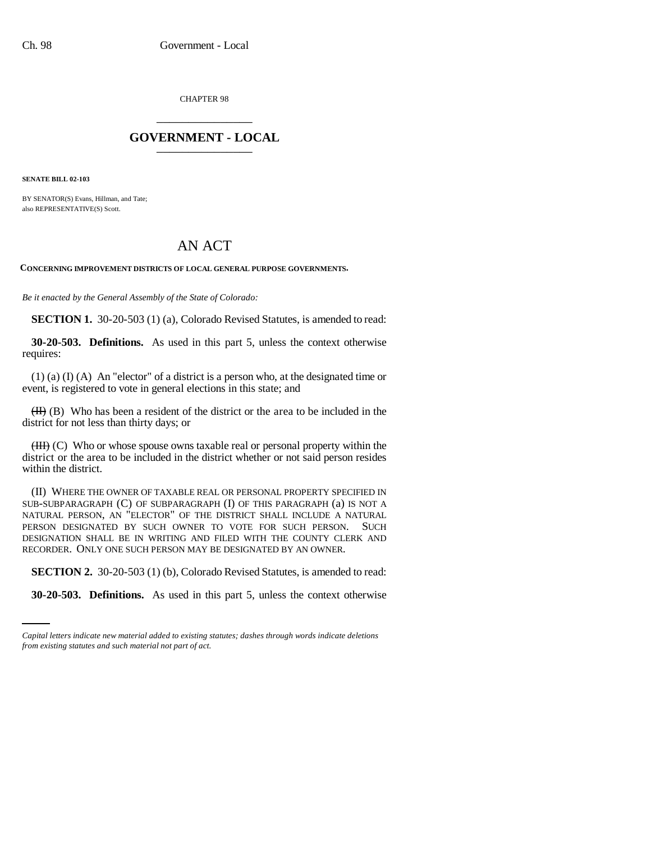CHAPTER 98 \_\_\_\_\_\_\_\_\_\_\_\_\_\_\_

## **GOVERNMENT - LOCAL** \_\_\_\_\_\_\_\_\_\_\_\_\_\_\_

**SENATE BILL 02-103**

BY SENATOR(S) Evans, Hillman, and Tate: also REPRESENTATIVE(S) Scott.

# AN ACT

**CONCERNING IMPROVEMENT DISTRICTS OF LOCAL GENERAL PURPOSE GOVERNMENTS.**

*Be it enacted by the General Assembly of the State of Colorado:*

**SECTION 1.** 30-20-503 (1) (a), Colorado Revised Statutes, is amended to read:

**30-20-503. Definitions.** As used in this part 5, unless the context otherwise requires:

(1) (a) (I) (A) An "elector" of a district is a person who, at the designated time or event, is registered to vote in general elections in this state; and

 $(H)$  (B) Who has been a resident of the district or the area to be included in the district for not less than thirty days; or

 $(HH)$  (C) Who or whose spouse owns taxable real or personal property within the district or the area to be included in the district whether or not said person resides within the district.

(II) WHERE THE OWNER OF TAXABLE REAL OR PERSONAL PROPERTY SPECIFIED IN SUB-SUBPARAGRAPH (C) OF SUBPARAGRAPH (I) OF THIS PARAGRAPH (a) IS NOT A NATURAL PERSON, AN "ELECTOR" OF THE DISTRICT SHALL INCLUDE A NATURAL PERSON DESIGNATED BY SUCH OWNER TO VOTE FOR SUCH PERSON. SUCH DESIGNATION SHALL BE IN WRITING AND FILED WITH THE COUNTY CLERK AND RECORDER. ONLY ONE SUCH PERSON MAY BE DESIGNATED BY AN OWNER.

**SECTION 2.** 30-20-503 (1) (b), Colorado Revised Statutes, is amended to read:

**30-20-503. Definitions.** As used in this part 5, unless the context otherwise

*Capital letters indicate new material added to existing statutes; dashes through words indicate deletions from existing statutes and such material not part of act.*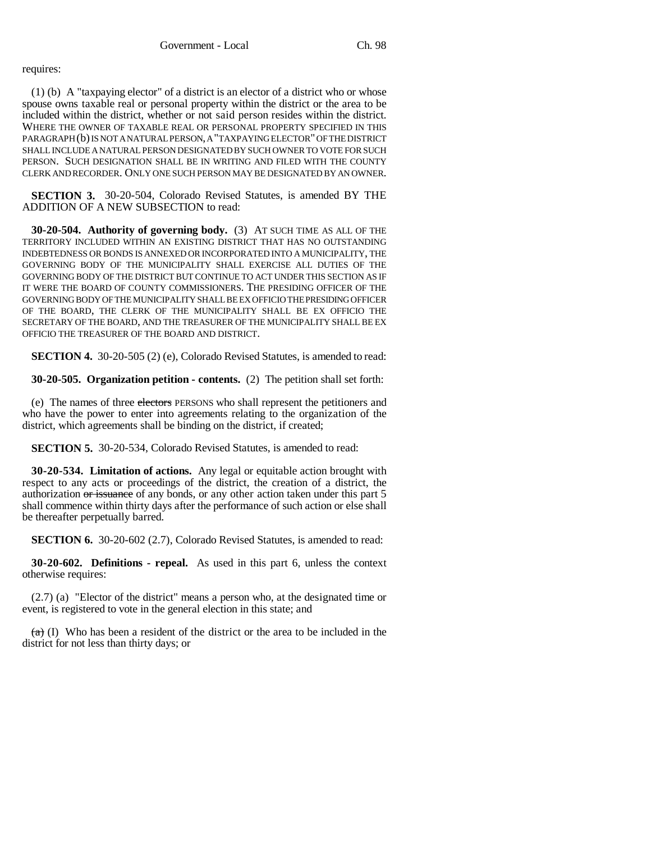requires:

(1) (b) A "taxpaying elector" of a district is an elector of a district who or whose spouse owns taxable real or personal property within the district or the area to be included within the district, whether or not said person resides within the district. WHERE THE OWNER OF TAXABLE REAL OR PERSONAL PROPERTY SPECIFIED IN THIS PARAGRAPH (b) IS NOT A NATURAL PERSON, A "TAXPAYING ELECTOR" OF THE DISTRICT SHALL INCLUDE A NATURAL PERSON DESIGNATED BY SUCH OWNER TO VOTE FOR SUCH PERSON. SUCH DESIGNATION SHALL BE IN WRITING AND FILED WITH THE COUNTY CLERK AND RECORDER. ONLY ONE SUCH PERSON MAY BE DESIGNATED BY AN OWNER.

**SECTION 3.** 30-20-504, Colorado Revised Statutes, is amended BY THE ADDITION OF A NEW SUBSECTION to read:

**30-20-504. Authority of governing body.** (3) AT SUCH TIME AS ALL OF THE TERRITORY INCLUDED WITHIN AN EXISTING DISTRICT THAT HAS NO OUTSTANDING INDEBTEDNESS OR BONDS IS ANNEXED OR INCORPORATED INTO A MUNICIPALITY, THE GOVERNING BODY OF THE MUNICIPALITY SHALL EXERCISE ALL DUTIES OF THE GOVERNING BODY OF THE DISTRICT BUT CONTINUE TO ACT UNDER THIS SECTION AS IF IT WERE THE BOARD OF COUNTY COMMISSIONERS. THE PRESIDING OFFICER OF THE GOVERNING BODY OF THE MUNICIPALITY SHALL BE EX OFFICIO THE PRESIDING OFFICER OF THE BOARD, THE CLERK OF THE MUNICIPALITY SHALL BE EX OFFICIO THE SECRETARY OF THE BOARD, AND THE TREASURER OF THE MUNICIPALITY SHALL BE EX OFFICIO THE TREASURER OF THE BOARD AND DISTRICT.

**SECTION 4.** 30-20-505 (2) (e), Colorado Revised Statutes, is amended to read:

**30-20-505. Organization petition - contents.** (2) The petition shall set forth:

(e) The names of three electors PERSONS who shall represent the petitioners and who have the power to enter into agreements relating to the organization of the district, which agreements shall be binding on the district, if created;

**SECTION 5.** 30-20-534, Colorado Revised Statutes, is amended to read:

**30-20-534. Limitation of actions.** Any legal or equitable action brought with respect to any acts or proceedings of the district, the creation of a district, the authorization or issuance of any bonds, or any other action taken under this part 5 shall commence within thirty days after the performance of such action or else shall be thereafter perpetually barred.

**SECTION 6.** 30-20-602 (2.7), Colorado Revised Statutes, is amended to read:

**30-20-602. Definitions - repeal.** As used in this part 6, unless the context otherwise requires:

(2.7) (a) "Elector of the district" means a person who, at the designated time or event, is registered to vote in the general election in this state; and

 $(a)$  (I) Who has been a resident of the district or the area to be included in the district for not less than thirty days; or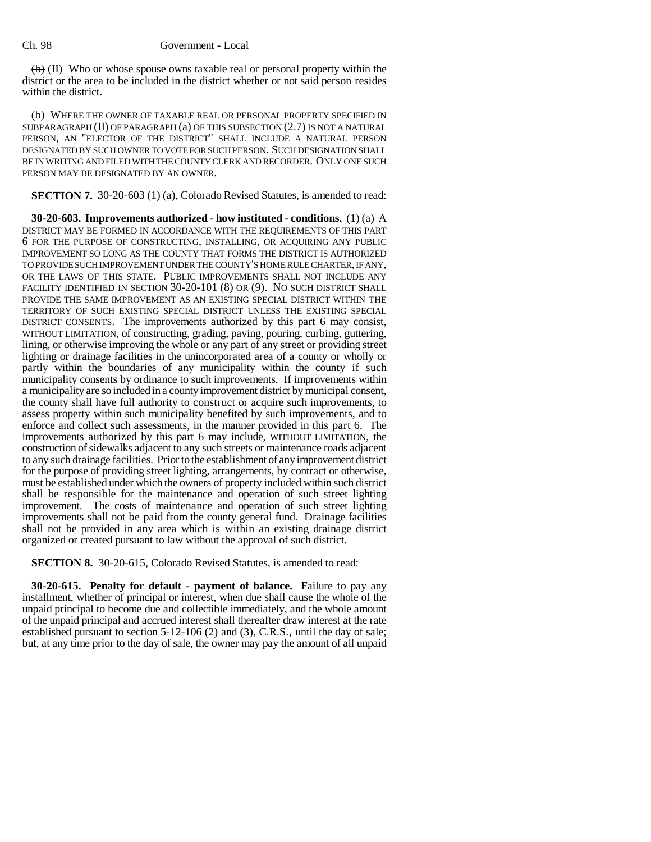$\langle \theta \rangle$  (II) Who or whose spouse owns taxable real or personal property within the district or the area to be included in the district whether or not said person resides within the district.

(b) WHERE THE OWNER OF TAXABLE REAL OR PERSONAL PROPERTY SPECIFIED IN SUBPARAGRAPH (II) OF PARAGRAPH (a) OF THIS SUBSECTION (2.7) IS NOT A NATURAL PERSON, AN "ELECTOR OF THE DISTRICT" SHALL INCLUDE A NATURAL PERSON DESIGNATED BY SUCH OWNER TO VOTE FOR SUCH PERSON. SUCH DESIGNATION SHALL BE IN WRITING AND FILED WITH THE COUNTY CLERK AND RECORDER. ONLY ONE SUCH PERSON MAY BE DESIGNATED BY AN OWNER.

**SECTION 7.** 30-20-603 (1) (a), Colorado Revised Statutes, is amended to read:

**30-20-603. Improvements authorized - how instituted - conditions.** (1) (a) A DISTRICT MAY BE FORMED IN ACCORDANCE WITH THE REQUIREMENTS OF THIS PART 6 FOR THE PURPOSE OF CONSTRUCTING, INSTALLING, OR ACQUIRING ANY PUBLIC IMPROVEMENT SO LONG AS THE COUNTY THAT FORMS THE DISTRICT IS AUTHORIZED TO PROVIDE SUCH IMPROVEMENT UNDER THE COUNTY'S HOME RULE CHARTER, IF ANY, OR THE LAWS OF THIS STATE. PUBLIC IMPROVEMENTS SHALL NOT INCLUDE ANY FACILITY IDENTIFIED IN SECTION 30-20-101 (8) OR (9). NO SUCH DISTRICT SHALL PROVIDE THE SAME IMPROVEMENT AS AN EXISTING SPECIAL DISTRICT WITHIN THE TERRITORY OF SUCH EXISTING SPECIAL DISTRICT UNLESS THE EXISTING SPECIAL DISTRICT CONSENTS. The improvements authorized by this part 6 may consist, WITHOUT LIMITATION, of constructing, grading, paving, pouring, curbing, guttering, lining, or otherwise improving the whole or any part of any street or providing street lighting or drainage facilities in the unincorporated area of a county or wholly or partly within the boundaries of any municipality within the county if such municipality consents by ordinance to such improvements. If improvements within a municipality are so included in a county improvement district by municipal consent, the county shall have full authority to construct or acquire such improvements, to assess property within such municipality benefited by such improvements, and to enforce and collect such assessments, in the manner provided in this part 6. The improvements authorized by this part 6 may include, WITHOUT LIMITATION, the construction of sidewalks adjacent to any such streets or maintenance roads adjacent to any such drainage facilities. Prior to the establishment of any improvement district for the purpose of providing street lighting, arrangements, by contract or otherwise, must be established under which the owners of property included within such district shall be responsible for the maintenance and operation of such street lighting improvement. The costs of maintenance and operation of such street lighting improvements shall not be paid from the county general fund. Drainage facilities shall not be provided in any area which is within an existing drainage district organized or created pursuant to law without the approval of such district.

**SECTION 8.** 30-20-615, Colorado Revised Statutes, is amended to read:

**30-20-615. Penalty for default - payment of balance.** Failure to pay any installment, whether of principal or interest, when due shall cause the whole of the unpaid principal to become due and collectible immediately, and the whole amount of the unpaid principal and accrued interest shall thereafter draw interest at the rate established pursuant to section 5-12-106 (2) and (3), C.R.S., until the day of sale; but, at any time prior to the day of sale, the owner may pay the amount of all unpaid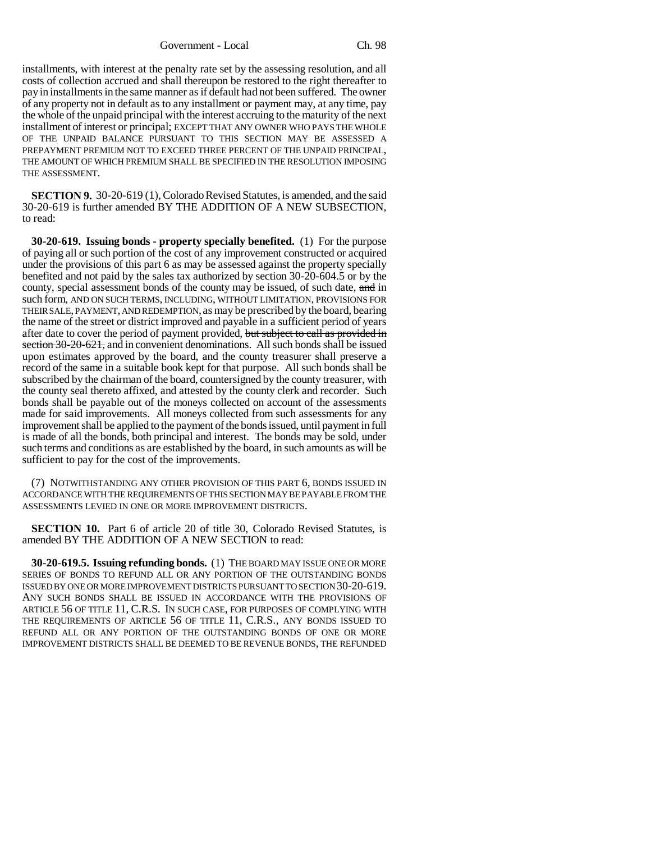Government - Local Ch. 98

installments, with interest at the penalty rate set by the assessing resolution, and all costs of collection accrued and shall thereupon be restored to the right thereafter to pay in installments in the same manner as if default had not been suffered. The owner of any property not in default as to any installment or payment may, at any time, pay the whole of the unpaid principal with the interest accruing to the maturity of the next installment of interest or principal; EXCEPT THAT ANY OWNER WHO PAYS THE WHOLE OF THE UNPAID BALANCE PURSUANT TO THIS SECTION MAY BE ASSESSED A PREPAYMENT PREMIUM NOT TO EXCEED THREE PERCENT OF THE UNPAID PRINCIPAL, THE AMOUNT OF WHICH PREMIUM SHALL BE SPECIFIED IN THE RESOLUTION IMPOSING THE ASSESSMENT.

**SECTION 9.** 30-20-619 (1), Colorado Revised Statutes, is amended, and the said 30-20-619 is further amended BY THE ADDITION OF A NEW SUBSECTION, to read:

**30-20-619. Issuing bonds - property specially benefited.** (1) For the purpose of paying all or such portion of the cost of any improvement constructed or acquired under the provisions of this part 6 as may be assessed against the property specially benefited and not paid by the sales tax authorized by section 30-20-604.5 or by the county, special assessment bonds of the county may be issued, of such date, and in such form, AND ON SUCH TERMS, INCLUDING, WITHOUT LIMITATION, PROVISIONS FOR THEIR SALE, PAYMENT, AND REDEMPTION, as may be prescribed by the board, bearing the name of the street or district improved and payable in a sufficient period of years after date to cover the period of payment provided, but subject to call as provided in section 30-20-621, and in convenient denominations. All such bonds shall be issued upon estimates approved by the board, and the county treasurer shall preserve a record of the same in a suitable book kept for that purpose. All such bonds shall be subscribed by the chairman of the board, countersigned by the county treasurer, with the county seal thereto affixed, and attested by the county clerk and recorder. Such bonds shall be payable out of the moneys collected on account of the assessments made for said improvements. All moneys collected from such assessments for any improvement shall be applied to the payment of the bonds issued, until payment in full is made of all the bonds, both principal and interest. The bonds may be sold, under such terms and conditions as are established by the board, in such amounts as will be sufficient to pay for the cost of the improvements.

(7) NOTWITHSTANDING ANY OTHER PROVISION OF THIS PART 6, BONDS ISSUED IN ACCORDANCE WITH THE REQUIREMENTS OF THIS SECTION MAY BE PAYABLE FROM THE ASSESSMENTS LEVIED IN ONE OR MORE IMPROVEMENT DISTRICTS.

**SECTION 10.** Part 6 of article 20 of title 30, Colorado Revised Statutes, is amended BY THE ADDITION OF A NEW SECTION to read:

**30-20-619.5. Issuing refunding bonds.** (1) THE BOARD MAY ISSUE ONE OR MORE SERIES OF BONDS TO REFUND ALL OR ANY PORTION OF THE OUTSTANDING BONDS ISSUED BY ONE OR MORE IMPROVEMENT DISTRICTS PURSUANT TO SECTION 30-20-619. ANY SUCH BONDS SHALL BE ISSUED IN ACCORDANCE WITH THE PROVISIONS OF ARTICLE 56 OF TITLE 11, C.R.S. IN SUCH CASE, FOR PURPOSES OF COMPLYING WITH THE REQUIREMENTS OF ARTICLE 56 OF TITLE 11, C.R.S., ANY BONDS ISSUED TO REFUND ALL OR ANY PORTION OF THE OUTSTANDING BONDS OF ONE OR MORE IMPROVEMENT DISTRICTS SHALL BE DEEMED TO BE REVENUE BONDS, THE REFUNDED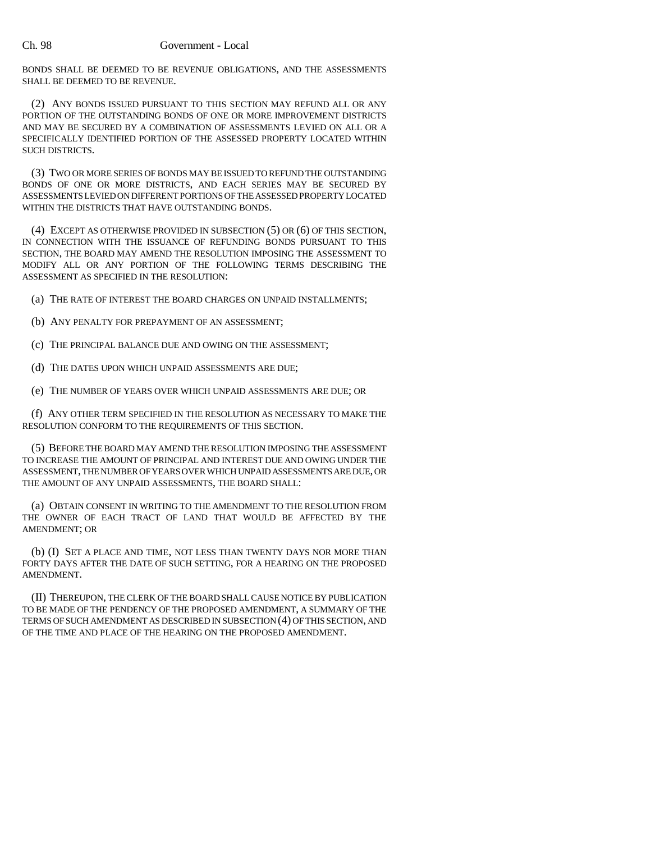### Ch. 98 Government - Local

BONDS SHALL BE DEEMED TO BE REVENUE OBLIGATIONS, AND THE ASSESSMENTS SHALL BE DEEMED TO BE REVENUE.

(2) ANY BONDS ISSUED PURSUANT TO THIS SECTION MAY REFUND ALL OR ANY PORTION OF THE OUTSTANDING BONDS OF ONE OR MORE IMPROVEMENT DISTRICTS AND MAY BE SECURED BY A COMBINATION OF ASSESSMENTS LEVIED ON ALL OR A SPECIFICALLY IDENTIFIED PORTION OF THE ASSESSED PROPERTY LOCATED WITHIN SUCH DISTRICTS.

(3) TWO OR MORE SERIES OF BONDS MAY BE ISSUED TO REFUND THE OUTSTANDING BONDS OF ONE OR MORE DISTRICTS, AND EACH SERIES MAY BE SECURED BY ASSESSMENTS LEVIED ON DIFFERENT PORTIONS OF THE ASSESSED PROPERTY LOCATED WITHIN THE DISTRICTS THAT HAVE OUTSTANDING BONDS.

(4) EXCEPT AS OTHERWISE PROVIDED IN SUBSECTION (5) OR (6) OF THIS SECTION, IN CONNECTION WITH THE ISSUANCE OF REFUNDING BONDS PURSUANT TO THIS SECTION, THE BOARD MAY AMEND THE RESOLUTION IMPOSING THE ASSESSMENT TO MODIFY ALL OR ANY PORTION OF THE FOLLOWING TERMS DESCRIBING THE ASSESSMENT AS SPECIFIED IN THE RESOLUTION:

(a) THE RATE OF INTEREST THE BOARD CHARGES ON UNPAID INSTALLMENTS;

(b) ANY PENALTY FOR PREPAYMENT OF AN ASSESSMENT;

(c) THE PRINCIPAL BALANCE DUE AND OWING ON THE ASSESSMENT;

(d) THE DATES UPON WHICH UNPAID ASSESSMENTS ARE DUE;

(e) THE NUMBER OF YEARS OVER WHICH UNPAID ASSESSMENTS ARE DUE; OR

(f) ANY OTHER TERM SPECIFIED IN THE RESOLUTION AS NECESSARY TO MAKE THE RESOLUTION CONFORM TO THE REQUIREMENTS OF THIS SECTION.

(5) BEFORE THE BOARD MAY AMEND THE RESOLUTION IMPOSING THE ASSESSMENT TO INCREASE THE AMOUNT OF PRINCIPAL AND INTEREST DUE AND OWING UNDER THE ASSESSMENT, THE NUMBER OF YEARS OVER WHICH UNPAID ASSESSMENTS ARE DUE, OR THE AMOUNT OF ANY UNPAID ASSESSMENTS, THE BOARD SHALL:

(a) OBTAIN CONSENT IN WRITING TO THE AMENDMENT TO THE RESOLUTION FROM THE OWNER OF EACH TRACT OF LAND THAT WOULD BE AFFECTED BY THE AMENDMENT; OR

(b) (I) SET A PLACE AND TIME, NOT LESS THAN TWENTY DAYS NOR MORE THAN FORTY DAYS AFTER THE DATE OF SUCH SETTING, FOR A HEARING ON THE PROPOSED AMENDMENT.

(II) THEREUPON, THE CLERK OF THE BOARD SHALL CAUSE NOTICE BY PUBLICATION TO BE MADE OF THE PENDENCY OF THE PROPOSED AMENDMENT, A SUMMARY OF THE TERMS OF SUCH AMENDMENT AS DESCRIBED IN SUBSECTION (4) OF THIS SECTION, AND OF THE TIME AND PLACE OF THE HEARING ON THE PROPOSED AMENDMENT.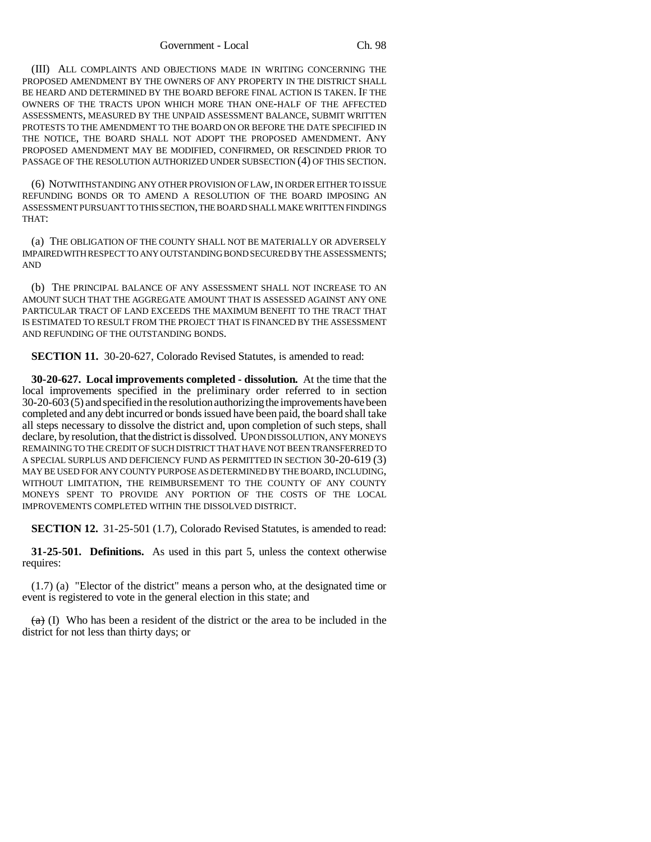(III) ALL COMPLAINTS AND OBJECTIONS MADE IN WRITING CONCERNING THE PROPOSED AMENDMENT BY THE OWNERS OF ANY PROPERTY IN THE DISTRICT SHALL BE HEARD AND DETERMINED BY THE BOARD BEFORE FINAL ACTION IS TAKEN. IF THE OWNERS OF THE TRACTS UPON WHICH MORE THAN ONE-HALF OF THE AFFECTED ASSESSMENTS, MEASURED BY THE UNPAID ASSESSMENT BALANCE, SUBMIT WRITTEN PROTESTS TO THE AMENDMENT TO THE BOARD ON OR BEFORE THE DATE SPECIFIED IN THE NOTICE, THE BOARD SHALL NOT ADOPT THE PROPOSED AMENDMENT. ANY PROPOSED AMENDMENT MAY BE MODIFIED, CONFIRMED, OR RESCINDED PRIOR TO PASSAGE OF THE RESOLUTION AUTHORIZED UNDER SUBSECTION (4) OF THIS SECTION.

(6) NOTWITHSTANDING ANY OTHER PROVISION OF LAW, IN ORDER EITHER TO ISSUE REFUNDING BONDS OR TO AMEND A RESOLUTION OF THE BOARD IMPOSING AN ASSESSMENT PURSUANT TO THIS SECTION, THE BOARD SHALL MAKE WRITTEN FINDINGS THAT:

(a) THE OBLIGATION OF THE COUNTY SHALL NOT BE MATERIALLY OR ADVERSELY IMPAIRED WITH RESPECT TO ANY OUTSTANDING BOND SECURED BY THE ASSESSMENTS; AND

(b) THE PRINCIPAL BALANCE OF ANY ASSESSMENT SHALL NOT INCREASE TO AN AMOUNT SUCH THAT THE AGGREGATE AMOUNT THAT IS ASSESSED AGAINST ANY ONE PARTICULAR TRACT OF LAND EXCEEDS THE MAXIMUM BENEFIT TO THE TRACT THAT IS ESTIMATED TO RESULT FROM THE PROJECT THAT IS FINANCED BY THE ASSESSMENT AND REFUNDING OF THE OUTSTANDING BONDS.

**SECTION 11.** 30-20-627, Colorado Revised Statutes, is amended to read:

**30-20-627. Local improvements completed - dissolution.** At the time that the local improvements specified in the preliminary order referred to in section 30-20-603 (5) and specified in the resolution authorizing the improvements have been completed and any debt incurred or bonds issued have been paid, the board shall take all steps necessary to dissolve the district and, upon completion of such steps, shall declare, by resolution, that the district is dissolved. UPON DISSOLUTION, ANY MONEYS REMAINING TO THE CREDIT OF SUCH DISTRICT THAT HAVE NOT BEEN TRANSFERRED TO A SPECIAL SURPLUS AND DEFICIENCY FUND AS PERMITTED IN SECTION 30-20-619 (3) MAY BE USED FOR ANY COUNTY PURPOSE AS DETERMINED BY THE BOARD, INCLUDING, WITHOUT LIMITATION, THE REIMBURSEMENT TO THE COUNTY OF ANY COUNTY MONEYS SPENT TO PROVIDE ANY PORTION OF THE COSTS OF THE LOCAL IMPROVEMENTS COMPLETED WITHIN THE DISSOLVED DISTRICT.

**SECTION 12.** 31-25-501 (1.7), Colorado Revised Statutes, is amended to read:

**31-25-501. Definitions.** As used in this part 5, unless the context otherwise requires:

(1.7) (a) "Elector of the district" means a person who, at the designated time or event is registered to vote in the general election in this state; and

 $(a)$  (I) Who has been a resident of the district or the area to be included in the district for not less than thirty days; or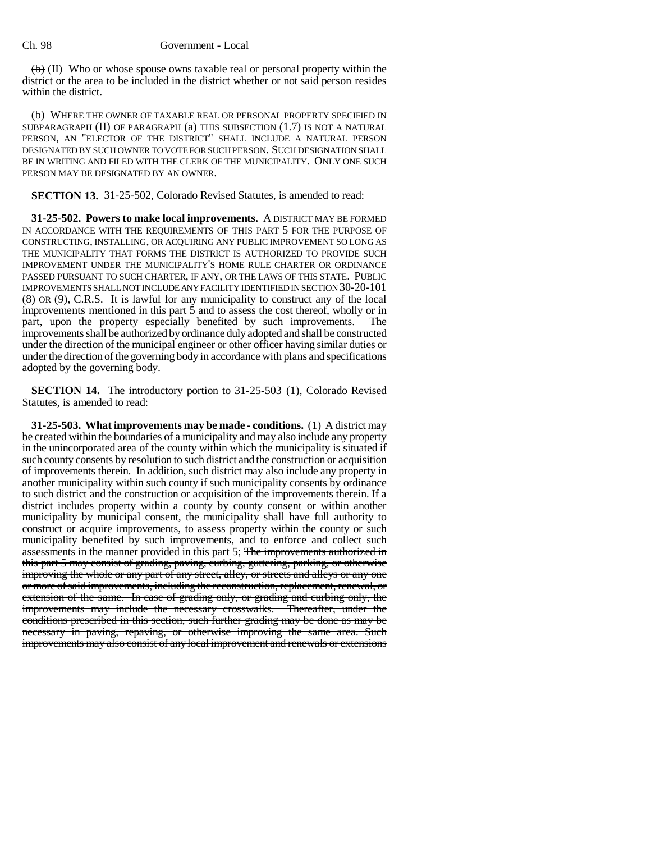$\langle \theta \rangle$  (II) Who or whose spouse owns taxable real or personal property within the district or the area to be included in the district whether or not said person resides within the district.

(b) WHERE THE OWNER OF TAXABLE REAL OR PERSONAL PROPERTY SPECIFIED IN SUBPARAGRAPH (II) OF PARAGRAPH (a) THIS SUBSECTION (1.7) IS NOT A NATURAL PERSON, AN "ELECTOR OF THE DISTRICT" SHALL INCLUDE A NATURAL PERSON DESIGNATED BY SUCH OWNER TO VOTE FOR SUCH PERSON. SUCH DESIGNATION SHALL BE IN WRITING AND FILED WITH THE CLERK OF THE MUNICIPALITY. ONLY ONE SUCH PERSON MAY BE DESIGNATED BY AN OWNER.

**SECTION 13.** 31-25-502, Colorado Revised Statutes, is amended to read:

**31-25-502. Powers to make local improvements.** A DISTRICT MAY BE FORMED IN ACCORDANCE WITH THE REQUIREMENTS OF THIS PART 5 FOR THE PURPOSE OF CONSTRUCTING, INSTALLING, OR ACQUIRING ANY PUBLIC IMPROVEMENT SO LONG AS THE MUNICIPALITY THAT FORMS THE DISTRICT IS AUTHORIZED TO PROVIDE SUCH IMPROVEMENT UNDER THE MUNICIPALITY'S HOME RULE CHARTER OR ORDINANCE PASSED PURSUANT TO SUCH CHARTER, IF ANY, OR THE LAWS OF THIS STATE. PUBLIC IMPROVEMENTS SHALL NOT INCLUDE ANY FACILITY IDENTIFIED IN SECTION 30-20-101 (8) OR (9), C.R.S. It is lawful for any municipality to construct any of the local improvements mentioned in this part 5 and to assess the cost thereof, wholly or in part, upon the property especially benefited by such improvements. The improvements shall be authorized by ordinance duly adopted and shall be constructed under the direction of the municipal engineer or other officer having similar duties or under the direction of the governing body in accordance with plans and specifications adopted by the governing body.

**SECTION 14.** The introductory portion to 31-25-503 (1), Colorado Revised Statutes, is amended to read:

**31-25-503. What improvements may be made - conditions.** (1) A district may be created within the boundaries of a municipality and may also include any property in the unincorporated area of the county within which the municipality is situated if such county consents by resolution to such district and the construction or acquisition of improvements therein. In addition, such district may also include any property in another municipality within such county if such municipality consents by ordinance to such district and the construction or acquisition of the improvements therein. If a district includes property within a county by county consent or within another municipality by municipal consent, the municipality shall have full authority to construct or acquire improvements, to assess property within the county or such municipality benefited by such improvements, and to enforce and collect such assessments in the manner provided in this part 5; The improvements authorized in this part 5 may consist of grading, paving, curbing, guttering, parking, or otherwise improving the whole or any part of any street, alley, or streets and alleys or any one or more of said improvements, including the reconstruction, replacement, renewal, or extension of the same. In case of grading only, or grading and curbing only, the improvements may include the necessary crosswalks. Thereafter, under the conditions prescribed in this section, such further grading may be done as may be necessary in paving, repaving, or otherwise improving the same area. Such improvements may also consist of any local improvement and renewals or extensions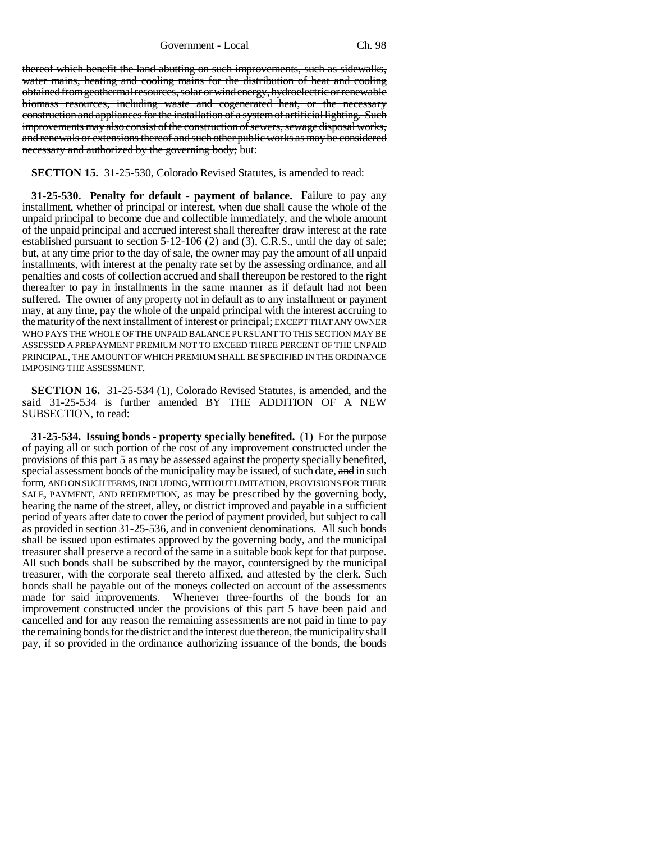Government - Local Ch. 98

thereof which benefit the land abutting on such improvements, such as sidewalks, water mains, heating and cooling mains for the distribution of heat and cooling obtained from geothermal resources, solar or wind energy, hydroelectric or renewable biomass resources, including waste and cogenerated heat, or the necessary construction and appliances for the installation of a system of artificial lighting. Such improvements may also consist of the construction of sewers, sewage disposal works, and renewals or extensions thereof and such other public works as may be considered necessary and authorized by the governing body; but:

### **SECTION 15.** 31-25-530, Colorado Revised Statutes, is amended to read:

**31-25-530. Penalty for default - payment of balance.** Failure to pay any installment, whether of principal or interest, when due shall cause the whole of the unpaid principal to become due and collectible immediately, and the whole amount of the unpaid principal and accrued interest shall thereafter draw interest at the rate established pursuant to section 5-12-106 (2) and (3), C.R.S., until the day of sale; but, at any time prior to the day of sale, the owner may pay the amount of all unpaid installments, with interest at the penalty rate set by the assessing ordinance, and all penalties and costs of collection accrued and shall thereupon be restored to the right thereafter to pay in installments in the same manner as if default had not been suffered. The owner of any property not in default as to any installment or payment may, at any time, pay the whole of the unpaid principal with the interest accruing to the maturity of the next installment of interest or principal; EXCEPT THAT ANY OWNER WHO PAYS THE WHOLE OF THE UNPAID BALANCE PURSUANT TO THIS SECTION MAY BE ASSESSED A PREPAYMENT PREMIUM NOT TO EXCEED THREE PERCENT OF THE UNPAID PRINCIPAL, THE AMOUNT OF WHICH PREMIUM SHALL BE SPECIFIED IN THE ORDINANCE IMPOSING THE ASSESSMENT.

**SECTION 16.** 31-25-534 (1), Colorado Revised Statutes, is amended, and the said 31-25-534 is further amended BY THE ADDITION OF A NEW SUBSECTION, to read:

**31-25-534. Issuing bonds - property specially benefited.** (1) For the purpose of paying all or such portion of the cost of any improvement constructed under the provisions of this part 5 as may be assessed against the property specially benefited, special assessment bonds of the municipality may be issued, of such date, and in such form, AND ON SUCH TERMS, INCLUDING, WITHOUT LIMITATION, PROVISIONS FOR THEIR SALE, PAYMENT, AND REDEMPTION, as may be prescribed by the governing body, bearing the name of the street, alley, or district improved and payable in a sufficient period of years after date to cover the period of payment provided, but subject to call as provided in section 31-25-536, and in convenient denominations. All such bonds shall be issued upon estimates approved by the governing body, and the municipal treasurer shall preserve a record of the same in a suitable book kept for that purpose. All such bonds shall be subscribed by the mayor, countersigned by the municipal treasurer, with the corporate seal thereto affixed, and attested by the clerk. Such bonds shall be payable out of the moneys collected on account of the assessments made for said improvements. Whenever three-fourths of the bonds for an improvement constructed under the provisions of this part 5 have been paid and cancelled and for any reason the remaining assessments are not paid in time to pay the remaining bonds for the district and the interest due thereon, the municipality shall pay, if so provided in the ordinance authorizing issuance of the bonds, the bonds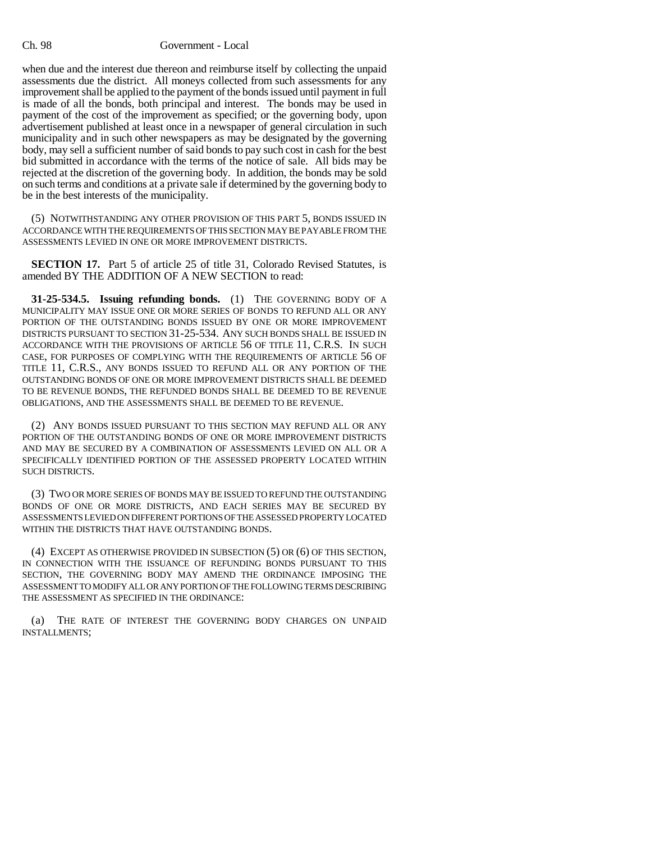### Ch. 98 Government - Local

when due and the interest due thereon and reimburse itself by collecting the unpaid assessments due the district. All moneys collected from such assessments for any improvement shall be applied to the payment of the bonds issued until payment in full is made of all the bonds, both principal and interest. The bonds may be used in payment of the cost of the improvement as specified; or the governing body, upon advertisement published at least once in a newspaper of general circulation in such municipality and in such other newspapers as may be designated by the governing body, may sell a sufficient number of said bonds to pay such cost in cash for the best bid submitted in accordance with the terms of the notice of sale. All bids may be rejected at the discretion of the governing body. In addition, the bonds may be sold on such terms and conditions at a private sale if determined by the governing body to be in the best interests of the municipality.

(5) NOTWITHSTANDING ANY OTHER PROVISION OF THIS PART 5, BONDS ISSUED IN ACCORDANCE WITH THE REQUIREMENTS OF THIS SECTION MAY BE PAYABLE FROM THE ASSESSMENTS LEVIED IN ONE OR MORE IMPROVEMENT DISTRICTS.

**SECTION 17.** Part 5 of article 25 of title 31, Colorado Revised Statutes, is amended BY THE ADDITION OF A NEW SECTION to read:

**31-25-534.5. Issuing refunding bonds.** (1) THE GOVERNING BODY OF A MUNICIPALITY MAY ISSUE ONE OR MORE SERIES OF BONDS TO REFUND ALL OR ANY PORTION OF THE OUTSTANDING BONDS ISSUED BY ONE OR MORE IMPROVEMENT DISTRICTS PURSUANT TO SECTION 31-25-534. ANY SUCH BONDS SHALL BE ISSUED IN ACCORDANCE WITH THE PROVISIONS OF ARTICLE 56 OF TITLE 11, C.R.S. IN SUCH CASE, FOR PURPOSES OF COMPLYING WITH THE REQUIREMENTS OF ARTICLE 56 OF TITLE 11, C.R.S., ANY BONDS ISSUED TO REFUND ALL OR ANY PORTION OF THE OUTSTANDING BONDS OF ONE OR MORE IMPROVEMENT DISTRICTS SHALL BE DEEMED TO BE REVENUE BONDS, THE REFUNDED BONDS SHALL BE DEEMED TO BE REVENUE OBLIGATIONS, AND THE ASSESSMENTS SHALL BE DEEMED TO BE REVENUE.

(2) ANY BONDS ISSUED PURSUANT TO THIS SECTION MAY REFUND ALL OR ANY PORTION OF THE OUTSTANDING BONDS OF ONE OR MORE IMPROVEMENT DISTRICTS AND MAY BE SECURED BY A COMBINATION OF ASSESSMENTS LEVIED ON ALL OR A SPECIFICALLY IDENTIFIED PORTION OF THE ASSESSED PROPERTY LOCATED WITHIN SUCH DISTRICTS.

(3) TWO OR MORE SERIES OF BONDS MAY BE ISSUED TO REFUND THE OUTSTANDING BONDS OF ONE OR MORE DISTRICTS, AND EACH SERIES MAY BE SECURED BY ASSESSMENTS LEVIED ON DIFFERENT PORTIONS OF THE ASSESSED PROPERTY LOCATED WITHIN THE DISTRICTS THAT HAVE OUTSTANDING BONDS.

(4) EXCEPT AS OTHERWISE PROVIDED IN SUBSECTION (5) OR (6) OF THIS SECTION, IN CONNECTION WITH THE ISSUANCE OF REFUNDING BONDS PURSUANT TO THIS SECTION, THE GOVERNING BODY MAY AMEND THE ORDINANCE IMPOSING THE ASSESSMENT TO MODIFY ALL OR ANY PORTION OF THE FOLLOWING TERMS DESCRIBING THE ASSESSMENT AS SPECIFIED IN THE ORDINANCE:

(a) THE RATE OF INTEREST THE GOVERNING BODY CHARGES ON UNPAID INSTALLMENTS;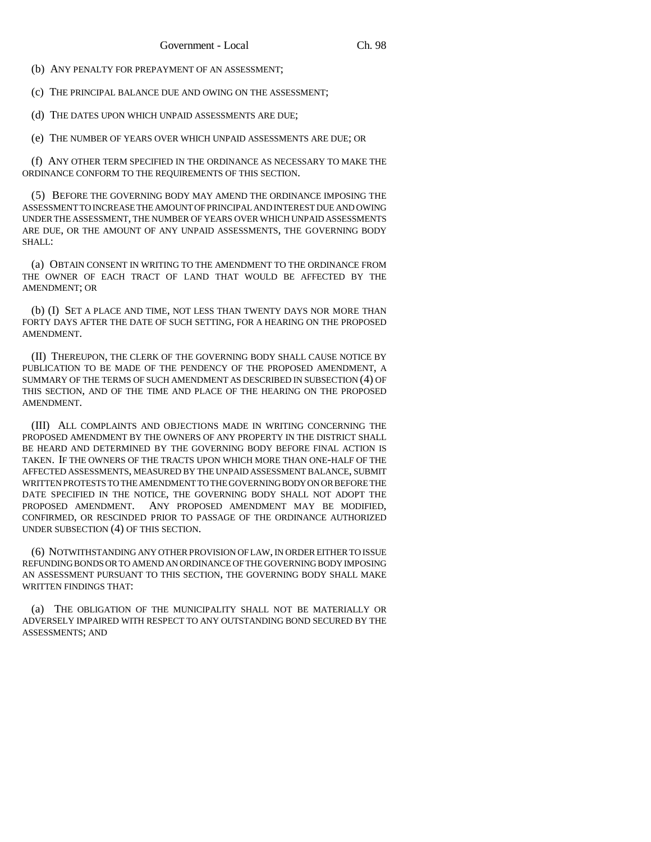(b) ANY PENALTY FOR PREPAYMENT OF AN ASSESSMENT;

(c) THE PRINCIPAL BALANCE DUE AND OWING ON THE ASSESSMENT;

(d) THE DATES UPON WHICH UNPAID ASSESSMENTS ARE DUE;

(e) THE NUMBER OF YEARS OVER WHICH UNPAID ASSESSMENTS ARE DUE; OR

(f) ANY OTHER TERM SPECIFIED IN THE ORDINANCE AS NECESSARY TO MAKE THE ORDINANCE CONFORM TO THE REQUIREMENTS OF THIS SECTION.

(5) BEFORE THE GOVERNING BODY MAY AMEND THE ORDINANCE IMPOSING THE ASSESSMENT TO INCREASE THE AMOUNT OF PRINCIPAL AND INTEREST DUE AND OWING UNDER THE ASSESSMENT, THE NUMBER OF YEARS OVER WHICH UNPAID ASSESSMENTS ARE DUE, OR THE AMOUNT OF ANY UNPAID ASSESSMENTS, THE GOVERNING BODY SHALL:

(a) OBTAIN CONSENT IN WRITING TO THE AMENDMENT TO THE ORDINANCE FROM THE OWNER OF EACH TRACT OF LAND THAT WOULD BE AFFECTED BY THE AMENDMENT; OR

(b) (I) SET A PLACE AND TIME, NOT LESS THAN TWENTY DAYS NOR MORE THAN FORTY DAYS AFTER THE DATE OF SUCH SETTING, FOR A HEARING ON THE PROPOSED AMENDMENT.

(II) THEREUPON, THE CLERK OF THE GOVERNING BODY SHALL CAUSE NOTICE BY PUBLICATION TO BE MADE OF THE PENDENCY OF THE PROPOSED AMENDMENT, A SUMMARY OF THE TERMS OF SUCH AMENDMENT AS DESCRIBED IN SUBSECTION (4) OF THIS SECTION, AND OF THE TIME AND PLACE OF THE HEARING ON THE PROPOSED AMENDMENT.

(III) ALL COMPLAINTS AND OBJECTIONS MADE IN WRITING CONCERNING THE PROPOSED AMENDMENT BY THE OWNERS OF ANY PROPERTY IN THE DISTRICT SHALL BE HEARD AND DETERMINED BY THE GOVERNING BODY BEFORE FINAL ACTION IS TAKEN. IF THE OWNERS OF THE TRACTS UPON WHICH MORE THAN ONE-HALF OF THE AFFECTED ASSESSMENTS, MEASURED BY THE UNPAID ASSESSMENT BALANCE, SUBMIT WRITTEN PROTESTS TO THE AMENDMENT TO THE GOVERNING BODY ON OR BEFORE THE DATE SPECIFIED IN THE NOTICE, THE GOVERNING BODY SHALL NOT ADOPT THE PROPOSED AMENDMENT. ANY PROPOSED AMENDMENT MAY BE MODIFIED, CONFIRMED, OR RESCINDED PRIOR TO PASSAGE OF THE ORDINANCE AUTHORIZED UNDER SUBSECTION (4) OF THIS SECTION.

(6) NOTWITHSTANDING ANY OTHER PROVISION OF LAW, IN ORDER EITHER TO ISSUE REFUNDING BONDS OR TO AMEND AN ORDINANCE OF THE GOVERNING BODY IMPOSING AN ASSESSMENT PURSUANT TO THIS SECTION, THE GOVERNING BODY SHALL MAKE WRITTEN FINDINGS THAT:

(a) THE OBLIGATION OF THE MUNICIPALITY SHALL NOT BE MATERIALLY OR ADVERSELY IMPAIRED WITH RESPECT TO ANY OUTSTANDING BOND SECURED BY THE ASSESSMENTS; AND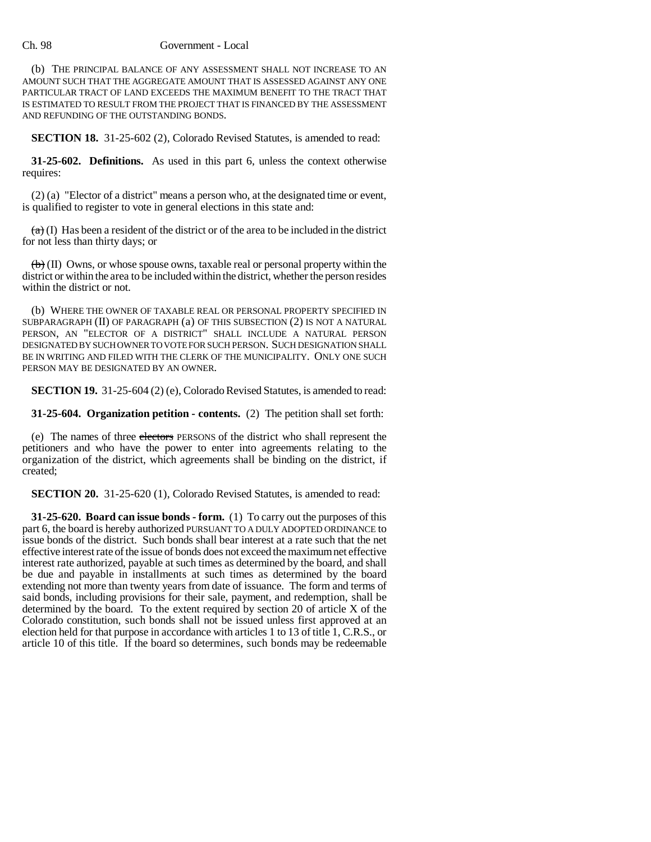#### Ch. 98 Government - Local

(b) THE PRINCIPAL BALANCE OF ANY ASSESSMENT SHALL NOT INCREASE TO AN AMOUNT SUCH THAT THE AGGREGATE AMOUNT THAT IS ASSESSED AGAINST ANY ONE PARTICULAR TRACT OF LAND EXCEEDS THE MAXIMUM BENEFIT TO THE TRACT THAT IS ESTIMATED TO RESULT FROM THE PROJECT THAT IS FINANCED BY THE ASSESSMENT AND REFUNDING OF THE OUTSTANDING BONDS.

**SECTION 18.** 31-25-602 (2), Colorado Revised Statutes, is amended to read:

**31-25-602. Definitions.** As used in this part 6, unless the context otherwise requires:

(2) (a) "Elector of a district" means a person who, at the designated time or event, is qualified to register to vote in general elections in this state and:

 $(a)$  (I) Has been a resident of the district or of the area to be included in the district for not less than thirty days; or

(b) (II) Owns, or whose spouse owns, taxable real or personal property within the district or within the area to be included within the district, whether the person resides within the district or not.

(b) WHERE THE OWNER OF TAXABLE REAL OR PERSONAL PROPERTY SPECIFIED IN SUBPARAGRAPH (II) OF PARAGRAPH (a) OF THIS SUBSECTION (2) IS NOT A NATURAL PERSON, AN "ELECTOR OF A DISTRICT" SHALL INCLUDE A NATURAL PERSON DESIGNATED BY SUCH OWNER TO VOTE FOR SUCH PERSON. SUCH DESIGNATION SHALL BE IN WRITING AND FILED WITH THE CLERK OF THE MUNICIPALITY. ONLY ONE SUCH PERSON MAY BE DESIGNATED BY AN OWNER.

**SECTION 19.** 31-25-604 (2) (e), Colorado Revised Statutes, is amended to read:

**31-25-604. Organization petition - contents.** (2) The petition shall set forth:

(e) The names of three electors PERSONS of the district who shall represent the petitioners and who have the power to enter into agreements relating to the organization of the district, which agreements shall be binding on the district, if created;

**SECTION 20.** 31-25-620 (1), Colorado Revised Statutes, is amended to read:

**31-25-620. Board can issue bonds - form.** (1) To carry out the purposes of this part 6, the board is hereby authorized PURSUANT TO A DULY ADOPTED ORDINANCE to issue bonds of the district. Such bonds shall bear interest at a rate such that the net effective interest rate of the issue of bonds does not exceed the maximum net effective interest rate authorized, payable at such times as determined by the board, and shall be due and payable in installments at such times as determined by the board extending not more than twenty years from date of issuance. The form and terms of said bonds, including provisions for their sale, payment, and redemption, shall be determined by the board. To the extent required by section 20 of article X of the Colorado constitution, such bonds shall not be issued unless first approved at an election held for that purpose in accordance with articles 1 to 13 of title 1, C.R.S., or article 10 of this title. If the board so determines, such bonds may be redeemable